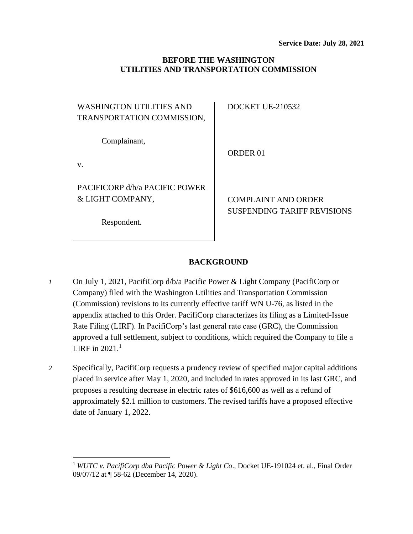## **BEFORE THE WASHINGTON UTILITIES AND TRANSPORTATION COMMISSION**

| <b>WASHINGTON UTILITIES AND</b><br>TRANSPORTATION COMMISSION,     | DOCKET UE-210532                                          |
|-------------------------------------------------------------------|-----------------------------------------------------------|
| Complainant,<br>V.                                                | ORDER 01                                                  |
| PACIFICORP d/b/a PACIFIC POWER<br>& LIGHT COMPANY,<br>Respondent. | <b>COMPLAINT AND ORDER</b><br>SUSPENDING TARIFF REVISIONS |
|                                                                   |                                                           |

# **BACKGROUND**

- *1* On July 1, 2021, PacifiCorp d/b/a Pacific Power & Light Company (PacifiCorp or Company) filed with the Washington Utilities and Transportation Commission (Commission) revisions to its currently effective tariff WN U-76, as listed in the appendix attached to this Order. PacifiCorp characterizes its filing as a Limited-Issue Rate Filing (LIRF). In PacifiCorp's last general rate case (GRC), the Commission approved a full settlement, subject to conditions, which required the Company to file a LIRF in  $2021.<sup>1</sup>$
- *2* Specifically, PacifiCorp requests a prudency review of specified major capital additions placed in service after May 1, 2020, and included in rates approved in its last GRC, and proposes a resulting decrease in electric rates of \$616,600 as well as a refund of approximately \$2.1 million to customers. The revised tariffs have a proposed effective date of January 1, 2022.

<sup>1</sup> *WUTC v. PacifiCorp dba Pacific Power & Light Co*., Docket UE-191024 et. al., Final Order 09/07/12 at ¶ 58-62 (December 14, 2020).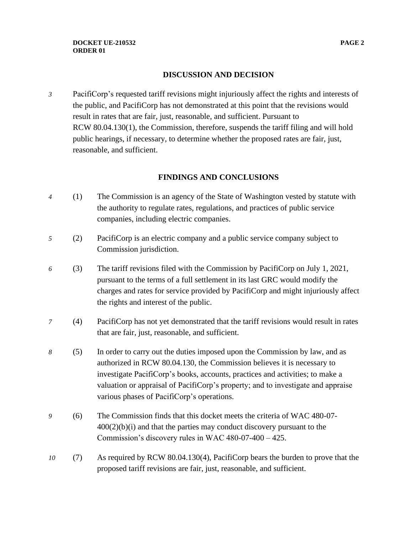### **DISCUSSION AND DECISION**

*3* PacifiCorp's requested tariff revisions might injuriously affect the rights and interests of the public, and PacifiCorp has not demonstrated at this point that the revisions would result in rates that are fair, just, reasonable, and sufficient. Pursuant to RCW 80.04.130(1), the Commission, therefore, suspends the tariff filing and will hold public hearings, if necessary, to determine whether the proposed rates are fair, just, reasonable, and sufficient.

## **FINDINGS AND CONCLUSIONS**

- *4* (1) The Commission is an agency of the State of Washington vested by statute with the authority to regulate rates, regulations, and practices of public service companies, including electric companies.
- *5* (2) PacifiCorp is an electric company and a public service company subject to Commission jurisdiction.
- *6* (3) The tariff revisions filed with the Commission by PacifiCorp on July 1, 2021, pursuant to the terms of a full settlement in its last GRC would modify the charges and rates for service provided by PacifiCorp and might injuriously affect the rights and interest of the public.
- *7* (4) PacifiCorp has not yet demonstrated that the tariff revisions would result in rates that are fair, just, reasonable, and sufficient.
- *8* (5) In order to carry out the duties imposed upon the Commission by law, and as authorized in RCW 80.04.130, the Commission believes it is necessary to investigate PacifiCorp's books, accounts, practices and activities; to make a valuation or appraisal of PacifiCorp's property; and to investigate and appraise various phases of PacifiCorp's operations.
- *9* (6) The Commission finds that this docket meets the criteria of WAC 480-07-  $400(2)(b)(i)$  and that the parties may conduct discovery pursuant to the Commission's discovery rules in WAC 480-07-400 – 425.
- *10* (7) As required by RCW 80.04.130(4), PacifiCorp bears the burden to prove that the proposed tariff revisions are fair, just, reasonable, and sufficient.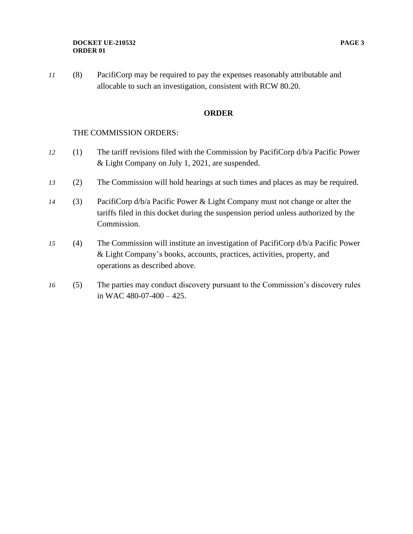#### **DOCKET UE-210532 PAGE 3 ORDER 01**

*11* (8) PacifiCorp may be required to pay the expenses reasonably attributable and allocable to such an investigation, consistent with RCW 80.20.

### **ORDER**

### THE COMMISSION ORDERS:

- *12* (1) The tariff revisions filed with the Commission by PacifiCorp d/b/a Pacific Power & Light Company on July 1, 2021, are suspended.
- *13* (2) The Commission will hold hearings at such times and places as may be required.
- *14* (3) PacifiCorp d/b/a Pacific Power & Light Company must not change or alter the tariffs filed in this docket during the suspension period unless authorized by the Commission.
- *15* (4) The Commission will institute an investigation of PacifiCorp d/b/a Pacific Power & Light Company's books, accounts, practices, activities, property, and operations as described above.
- *16* (5) The parties may conduct discovery pursuant to the Commission's discovery rules in WAC 480-07-400 – 425.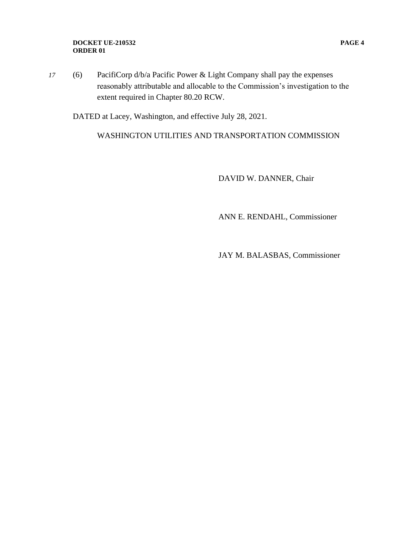#### **DOCKET UE-210532 PAGE 4 ORDER 01**

*17* (6) PacifiCorp d/b/a Pacific Power & Light Company shall pay the expenses reasonably attributable and allocable to the Commission's investigation to the extent required in Chapter 80.20 RCW.

DATED at Lacey, Washington, and effective July 28, 2021.

WASHINGTON UTILITIES AND TRANSPORTATION COMMISSION

DAVID W. DANNER, Chair

ANN E. RENDAHL, Commissioner

JAY M. BALASBAS, Commissioner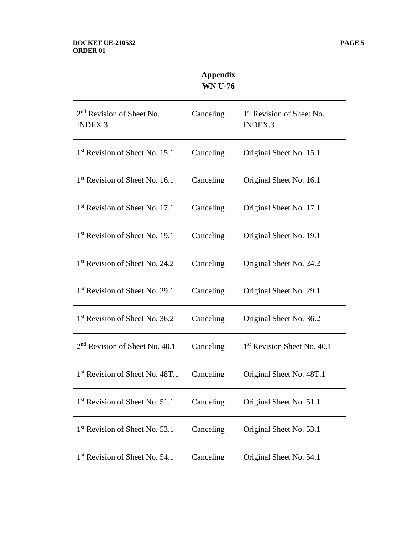# **Appendix WN U-76**

| 2 <sup>nd</sup> Revision of Sheet No.<br><b>INDEX.3</b> | Canceling | 1 <sup>st</sup> Revision of Sheet No.<br><b>INDEX.3</b> |
|---------------------------------------------------------|-----------|---------------------------------------------------------|
| 1 <sup>st</sup> Revision of Sheet No. 15.1              | Canceling | Original Sheet No. 15.1                                 |
| 1 <sup>st</sup> Revision of Sheet No. 16.1              | Canceling | Original Sheet No. 16.1                                 |
| 1 <sup>st</sup> Revision of Sheet No. 17.1              | Canceling | Original Sheet No. 17.1                                 |
| 1 <sup>st</sup> Revision of Sheet No. 19.1              | Canceling | Original Sheet No. 19.1                                 |
| 1 <sup>st</sup> Revision of Sheet No. 24.2              | Canceling | Original Sheet No. 24.2                                 |
| 1 <sup>st</sup> Revision of Sheet No. 29.1              | Canceling | Original Sheet No. 29.1                                 |
| 1 <sup>st</sup> Revision of Sheet No. 36.2              | Canceling | Original Sheet No. 36.2                                 |
| $2nd$ Revision of Sheet No. 40.1                        | Canceling | 1 <sup>st</sup> Revision Sheet No. 40.1                 |
| 1 <sup>st</sup> Revision of Sheet No. 48T.1             | Canceling | Original Sheet No. 48T.1                                |
| 1 <sup>st</sup> Revision of Sheet No. 51.1              | Canceling | Original Sheet No. 51.1                                 |
| 1 <sup>st</sup> Revision of Sheet No. 53.1              | Canceling | Original Sheet No. 53.1                                 |
| 1 <sup>st</sup> Revision of Sheet No. 54.1              | Canceling | Original Sheet No. 54.1                                 |